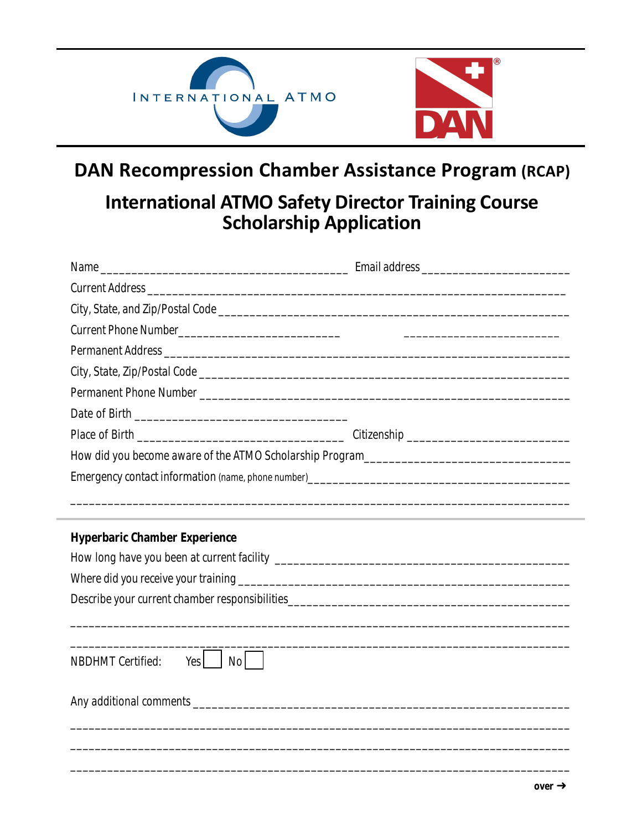

## **DAN Recompression Chamber Assistance Program (RCAP)**

## **International ATMO Safety Director Training Course Scholarship Application**

| <u> 1989 - Andrea Santa Andrea Santa Andrea Santa Andrea Santa Andrea Santa Andrea Santa Andrea Santa Andrea San</u> |  |
|----------------------------------------------------------------------------------------------------------------------|--|
|                                                                                                                      |  |
| <b>Hyperbaric Chamber Experience</b>                                                                                 |  |
|                                                                                                                      |  |
|                                                                                                                      |  |
|                                                                                                                      |  |
|                                                                                                                      |  |
|                                                                                                                      |  |
| <b>NBDHMT Certified:</b><br>No  <br>Yes                                                                              |  |
|                                                                                                                      |  |
|                                                                                                                      |  |